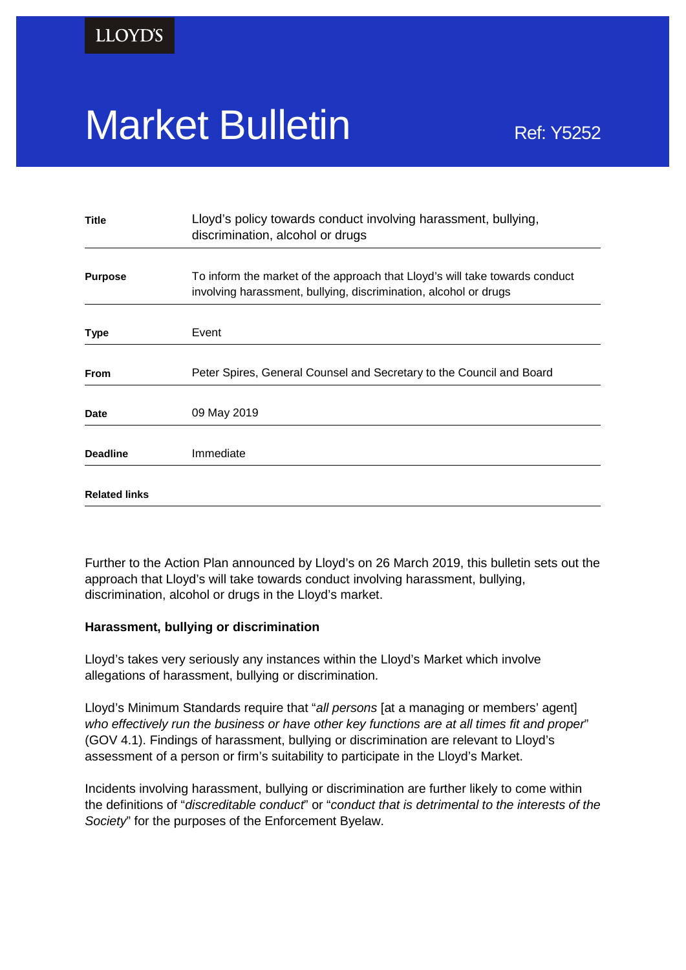# Market Bulletin Ref: Y5252

| <b>Title</b>         | Lloyd's policy towards conduct involving harassment, bullying,<br>discrimination, alcohol or drugs                                              |
|----------------------|-------------------------------------------------------------------------------------------------------------------------------------------------|
|                      |                                                                                                                                                 |
| <b>Purpose</b>       | To inform the market of the approach that Lloyd's will take towards conduct<br>involving harassment, bullying, discrimination, alcohol or drugs |
|                      |                                                                                                                                                 |
| <b>Type</b>          | Event                                                                                                                                           |
|                      |                                                                                                                                                 |
| <b>From</b>          | Peter Spires, General Counsel and Secretary to the Council and Board                                                                            |
| Date                 | 09 May 2019                                                                                                                                     |
|                      |                                                                                                                                                 |
| <b>Deadline</b>      | Immediate                                                                                                                                       |
| <b>Related links</b> |                                                                                                                                                 |

Further to the Action Plan announced by Lloyd's on 26 March 2019, this bulletin sets out the approach that Lloyd's will take towards conduct involving harassment, bullying, discrimination, alcohol or drugs in the Lloyd's market.

# **Harassment, bullying or discrimination**

Lloyd's takes very seriously any instances within the Lloyd's Market which involve allegations of harassment, bullying or discrimination.

Lloyd's Minimum Standards require that "*all persons* [at a managing or members' agent] *who effectively run the business or have other key functions are at all times fit and proper*" (GOV 4.1). Findings of harassment, bullying or discrimination are relevant to Lloyd's assessment of a person or firm's suitability to participate in the Lloyd's Market.

Incidents involving harassment, bullying or discrimination are further likely to come within the definitions of "*discreditable conduct*" or "*conduct that is detrimental to the interests of the Society*" for the purposes of the Enforcement Byelaw.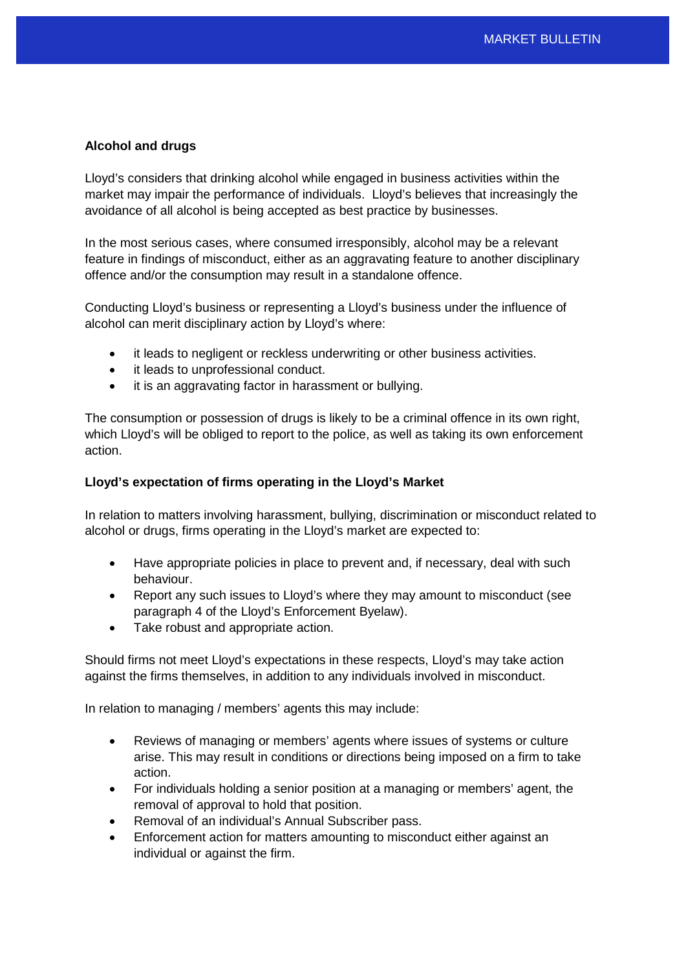# **Alcohol and drugs**

Lloyd's considers that drinking alcohol while engaged in business activities within the market may impair the performance of individuals. Lloyd's believes that increasingly the avoidance of all alcohol is being accepted as best practice by businesses.

In the most serious cases, where consumed irresponsibly, alcohol may be a relevant feature in findings of misconduct, either as an aggravating feature to another disciplinary offence and/or the consumption may result in a standalone offence.

Conducting Lloyd's business or representing a Lloyd's business under the influence of alcohol can merit disciplinary action by Lloyd's where:

- it leads to negligent or reckless underwriting or other business activities.
- it leads to unprofessional conduct.
- it is an aggravating factor in harassment or bullying.

The consumption or possession of drugs is likely to be a criminal offence in its own right, which Lloyd's will be obliged to report to the police, as well as taking its own enforcement action.

#### **Lloyd's expectation of firms operating in the Lloyd's Market**

In relation to matters involving harassment, bullying, discrimination or misconduct related to alcohol or drugs, firms operating in the Lloyd's market are expected to:

- Have appropriate policies in place to prevent and, if necessary, deal with such behaviour.
- Report any such issues to Lloyd's where they may amount to misconduct (see paragraph 4 of the Lloyd's Enforcement Byelaw).
- Take robust and appropriate action.

Should firms not meet Lloyd's expectations in these respects, Lloyd's may take action against the firms themselves, in addition to any individuals involved in misconduct.

In relation to managing / members' agents this may include:

- Reviews of managing or members' agents where issues of systems or culture arise. This may result in conditions or directions being imposed on a firm to take action.
- For individuals holding a senior position at a managing or members' agent, the removal of approval to hold that position.
- Removal of an individual's Annual Subscriber pass.
- Enforcement action for matters amounting to misconduct either against an individual or against the firm.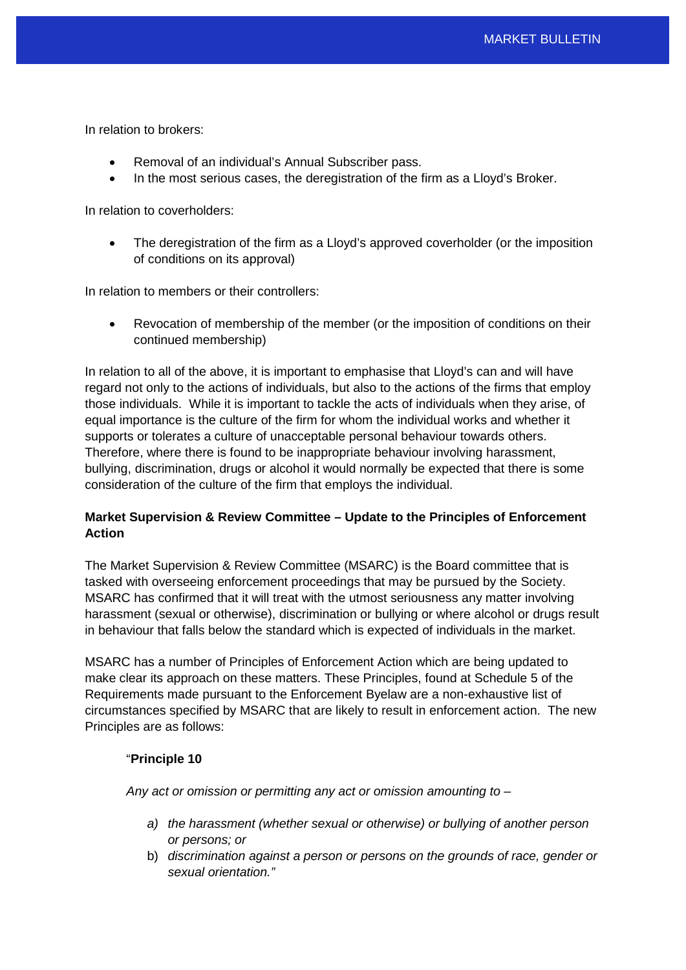In relation to brokers:

- Removal of an individual's Annual Subscriber pass.
- In the most serious cases, the deregistration of the firm as a Lloyd's Broker.

In relation to coverholders:

• The deregistration of the firm as a Lloyd's approved coverholder (or the imposition of conditions on its approval)

In relation to members or their controllers:

• Revocation of membership of the member (or the imposition of conditions on their continued membership)

In relation to all of the above, it is important to emphasise that Lloyd's can and will have regard not only to the actions of individuals, but also to the actions of the firms that employ those individuals. While it is important to tackle the acts of individuals when they arise, of equal importance is the culture of the firm for whom the individual works and whether it supports or tolerates a culture of unacceptable personal behaviour towards others. Therefore, where there is found to be inappropriate behaviour involving harassment, bullying, discrimination, drugs or alcohol it would normally be expected that there is some consideration of the culture of the firm that employs the individual.

# **Market Supervision & Review Committee – Update to the Principles of Enforcement Action**

The Market Supervision & Review Committee (MSARC) is the Board committee that is tasked with overseeing enforcement proceedings that may be pursued by the Society. MSARC has confirmed that it will treat with the utmost seriousness any matter involving harassment (sexual or otherwise), discrimination or bullying or where alcohol or drugs result in behaviour that falls below the standard which is expected of individuals in the market.

MSARC has a number of Principles of Enforcement Action which are being updated to make clear its approach on these matters. These Principles, found at Schedule 5 of the Requirements made pursuant to the Enforcement Byelaw are a non-exhaustive list of circumstances specified by MSARC that are likely to result in enforcement action. The new Principles are as follows:

# "**Principle 10**

*Any act or omission or permitting any act or omission amounting to –*

- *a) the harassment (whether sexual or otherwise) or bullying of another person or persons; or*
- b) *discrimination against a person or persons on the grounds of race, gender or sexual orientation."*